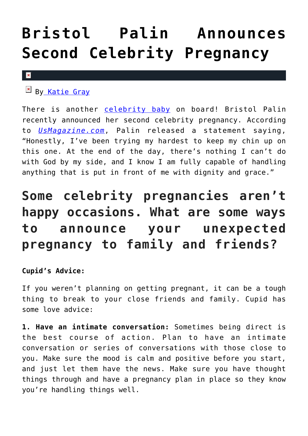## **[Bristol Palin Announces](https://cupidspulse.com/94656/bristol-palin-second-celebrity-pregnancy/) [Second Celebrity Pregnancy](https://cupidspulse.com/94656/bristol-palin-second-celebrity-pregnancy/)**

## $\pmb{\times}$

 $\mathbb{F}$  B[y Katie Gray](http://cupidspulse.com/105088/katie-gray/)

There is another [celebrity baby](http://cupidspulse.com/celebrity-relationships/celebrity-babies/) on board! Bristol Palin recently announced her second celebrity pregnancy. According to *[UsMagazine.com](http://www.usmagazine.com/celebrity-moms/news/bristol-palin-pregnant-with-second-child-i-do-not-want-any-lectures-2015256)*, Palin released a statement saying, "Honestly, I've been trying my hardest to keep my chin up on this one. At the end of the day, there's nothing I can't do with God by my side, and I know I am fully capable of handling anything that is put in front of me with dignity and grace."

## **Some celebrity pregnancies aren't happy occasions. What are some ways to announce your unexpected pregnancy to family and friends?**

## **Cupid's Advice:**

If you weren't planning on getting pregnant, it can be a tough thing to break to your close friends and family. Cupid has some love advice:

**1. Have an intimate conversation:** Sometimes being direct is the best course of action. Plan to have an intimate conversation or series of conversations with those close to you. Make sure the mood is calm and positive before you start, and just let them have the news. Make sure you have thought things through and have a pregnancy plan in place so they know you're handling things well.